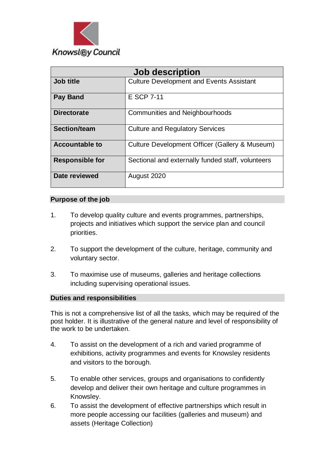

| <b>Job description</b> |                                                   |
|------------------------|---------------------------------------------------|
| Job title              | <b>Culture Development and Events Assistant</b>   |
| <b>Pay Band</b>        | E SCP 7-11                                        |
| <b>Directorate</b>     | Communities and Neighbourhoods                    |
| Section/team           | <b>Culture and Regulatory Services</b>            |
| <b>Accountable to</b>  | Culture Development Officer (Gallery & Museum)    |
| <b>Responsible for</b> | Sectional and externally funded staff, volunteers |
| Date reviewed          | August 2020                                       |

### **Purpose of the job**

- 1. To develop quality culture and events programmes, partnerships, projects and initiatives which support the service plan and council priorities.
- 2. To support the development of the culture, heritage, community and voluntary sector.
- 3. To maximise use of museums, galleries and heritage collections including supervising operational issues.

#### **Duties and responsibilities**

This is not a comprehensive list of all the tasks, which may be required of the post holder. It is illustrative of the general nature and level of responsibility of the work to be undertaken.

- 4. To assist on the development of a rich and varied programme of exhibitions, activity programmes and events for Knowsley residents and visitors to the borough.
- 5. To enable other services, groups and organisations to confidently develop and deliver their own heritage and culture programmes in Knowsley.
- 6. To assist the development of effective partnerships which result in more people accessing our facilities (galleries and museum) and assets (Heritage Collection)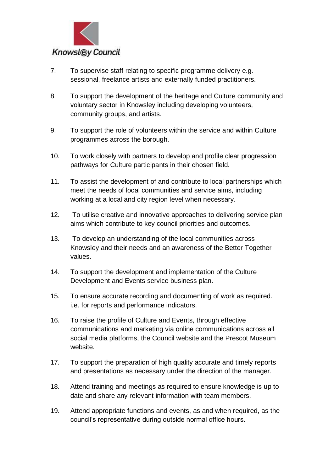

- 7. To supervise staff relating to specific programme delivery e.g. sessional, freelance artists and externally funded practitioners.
- 8. To support the development of the heritage and Culture community and voluntary sector in Knowsley including developing volunteers, community groups, and artists.
- 9. To support the role of volunteers within the service and within Culture programmes across the borough.
- 10. To work closely with partners to develop and profile clear progression pathways for Culture participants in their chosen field.
- 11. To assist the development of and contribute to local partnerships which meet the needs of local communities and service aims, including working at a local and city region level when necessary.
- 12. To utilise creative and innovative approaches to delivering service plan aims which contribute to key council priorities and outcomes.
- 13. To develop an understanding of the local communities across Knowsley and their needs and an awareness of the Better Together values.
- 14. To support the development and implementation of the Culture Development and Events service business plan.
- 15. To ensure accurate recording and documenting of work as required. i.e. for reports and performance indicators.
- 16. To raise the profile of Culture and Events, through effective communications and marketing via online communications across all social media platforms, the Council website and the Prescot Museum website.
- 17. To support the preparation of high quality accurate and timely reports and presentations as necessary under the direction of the manager.
- 18. Attend training and meetings as required to ensure knowledge is up to date and share any relevant information with team members.
- 19. Attend appropriate functions and events, as and when required, as the council's representative during outside normal office hours.